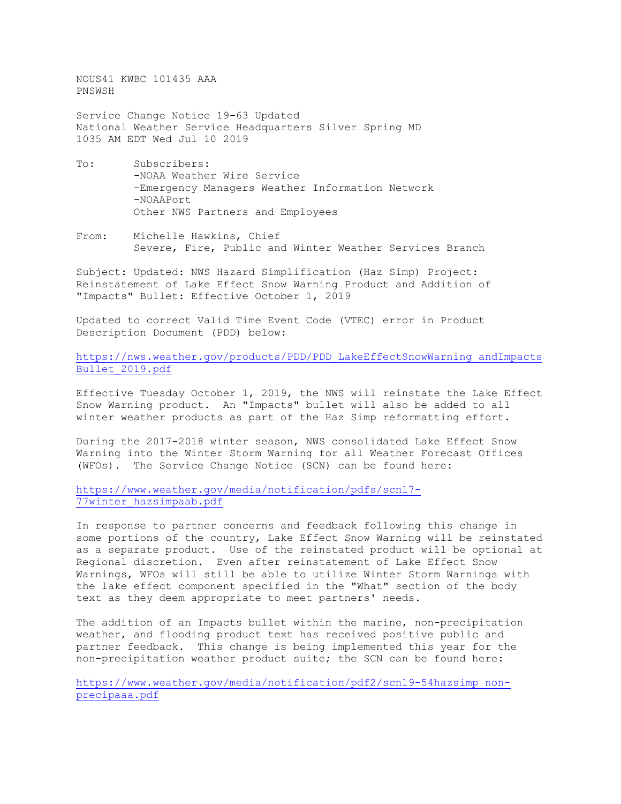NOUS41 KWBC 101435 AAA PNSWSH

Service Change Notice 19-63 Updated National Weather Service Headquarters Silver Spring MD 1035 AM EDT Wed Jul 10 2019

- To: Subscribers: -NOAA Weather Wire Service -Emergency Managers Weather Information Network -NOAAPort Other NWS Partners and Employees
- From: Michelle Hawkins, Chief Severe, Fire, Public and Winter Weather Services Branch

Subject: Updated: NWS Hazard Simplification (Haz Simp) Project: Reinstatement of Lake Effect Snow Warning Product and Addition of "Impacts" Bullet: Effective October 1, 2019

Updated to correct Valid Time Event Code (VTEC) error in Product Description Document (PDD) below:

[https://nws.weather.gov/products/PDD/PDD\\_LakeEffectSnowWarning\\_andImpacts](https://nws.weather.gov/products/PDD/PDD_LakeEffectSnowWarning_andImpactsBullet_2019.pdf) [Bullet\\_2019.pdf](https://nws.weather.gov/products/PDD/PDD_LakeEffectSnowWarning_andImpactsBullet_2019.pdf)

Effective Tuesday October 1, 2019, the NWS will reinstate the Lake Effect Snow Warning product. An "Impacts" bullet will also be added to all winter weather products as part of the Haz Simp reformatting effort.

During the 2017-2018 winter season, NWS consolidated Lake Effect Snow Warning into the Winter Storm Warning for all Weather Forecast Offices (WFOs). The Service Change Notice (SCN) can be found here:

[https://www.weather.gov/media/notification/pdfs/scn17-](https://www.weather.gov/media/notification/pdfs/scn17-77winter_hazsimpaab.pdf) [77winter\\_hazsimpaab.pdf](https://www.weather.gov/media/notification/pdfs/scn17-77winter_hazsimpaab.pdf)

In response to partner concerns and feedback following this change in some portions of the country, Lake Effect Snow Warning will be reinstated as a separate product. Use of the reinstated product will be optional at Regional discretion. Even after reinstatement of Lake Effect Snow Warnings, WFOs will still be able to utilize Winter Storm Warnings with the lake effect component specified in the "What" section of the body text as they deem appropriate to meet partners' needs.

The addition of an Impacts bullet within the marine, non-precipitation weather, and flooding product text has received positive public and partner feedback. This change is being implemented this year for the non-precipitation weather product suite; the SCN can be found here:

[https://www.weather.gov/media/notification/pdf2/scn19-54hazsimp\\_non](https://www.weather.gov/media/notification/pdf2/scn19-54hazsimp_non-precipaaa.pdf)[precipaaa.pdf](https://www.weather.gov/media/notification/pdf2/scn19-54hazsimp_non-precipaaa.pdf)